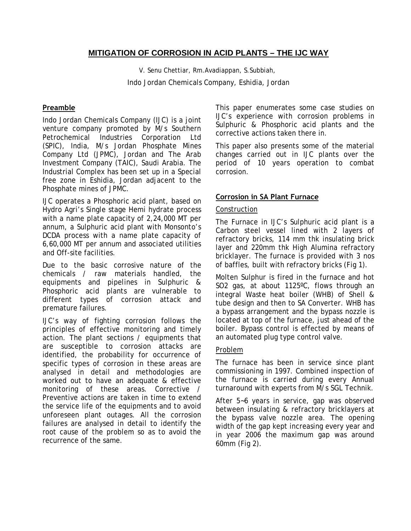# **MITIGATION OF CORROSION IN ACID PLANTS – THE IJC WAY**

V. Senu Chettiar, Rm.Avadiappan, S.Subbiah, Indo Jordan Chemicals Company, Eshidia, Jordan

### **Preamble**

Indo Jordan Chemicals Company (IJC) is a joint venture company promoted by M/s Southern Petrochemical Industries Corporation Ltd (SPIC), India, M/s Jordan Phosphate Mines Company Ltd (JPMC), Jordan and The Arab Investment Company (TAIC), Saudi Arabia. The Industrial Complex has been set up in a Special free zone in Eshidia, Jordan adjacent to the Phosphate mines of JPMC.

IJC operates a Phosphoric acid plant, based on Hydro Agri's Single stage Hemi hydrate process with a name plate capacity of 2,24,000 MT per annum, a Sulphuric acid plant with Monsonto's DCDA process with a name plate capacity of 6,60,000 MT per annum and associated utilities and Off-site facilities.

Due to the basic corrosive nature of the chemicals / raw materials handled, the equipments and pipelines in Sulphuric & Phosphoric acid plants are vulnerable to different types of corrosion attack and premature failures.

IJC's way of fighting corrosion follows the principles of effective monitoring and timely action. The plant sections / equipments that are susceptible to corrosion attacks are identified, the probability for occurrence of specific types of corrosion in these areas are analysed in detail and methodologies are worked out to have an adequate & effective monitoring of these areas. Corrective / Preventive actions are taken in time to extend the service life of the equipments and to avoid unforeseen plant outages. All the corrosion failures are analysed in detail to identify the root cause of the problem so as to avoid the recurrence of the same.

This paper enumerates some case studies on IJC's experience with corrosion problems in Sulphuric & Phosphoric acid plants and the corrective actions taken there in.

This paper also presents some of the material changes carried out in IJC plants over the period of 10 years operation to combat corrosion.

### **Corrosion in SA Plant Furnace**

#### Construction

The Furnace in IJC's Sulphuric acid plant is a Carbon steel vessel lined with 2 layers of refractory bricks, 114 mm thk insulating brick layer and 220mm thk High Alumina refractory bricklayer. The furnace is provided with 3 nos of baffles, built with refractory bricks (Fig 1).

Molten Sulphur is fired in the furnace and hot SO2 gas, at about 1125ºC, flows through an integral Waste heat boiler (WHB) of Shell & tube design and then to SA Converter. WHB has a bypass arrangement and the bypass nozzle is located at top of the furnace, just ahead of the boiler. Bypass control is effected by means of an automated plug type control valve.

#### Problem

The furnace has been in service since plant commissioning in 1997. Combined inspection of the furnace is carried during every Annual turnaround with experts from M/s SGL Technik.

After 5~6 years in service, gap was observed between insulating & refractory bricklayers at the bypass valve nozzle area. The opening width of the gap kept increasing every year and in year 2006 the maximum gap was around 60mm (Fig 2).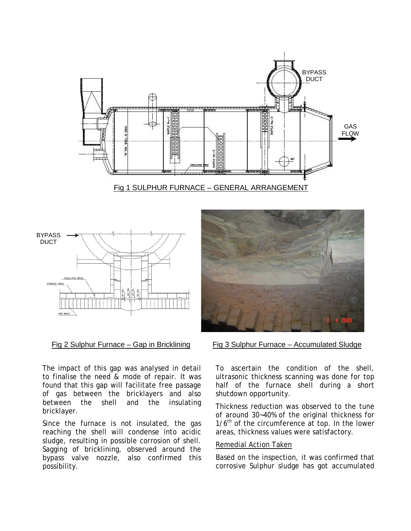



|  |  | Fig 2 Sulphur Furnace - Gap in Bricklining |  |  |  |
|--|--|--------------------------------------------|--|--|--|
|  |  |                                            |  |  |  |

The impact of this gap was analysed in detail to finalise the need & mode of repair. It was found that this gap will facilitate free passage of gas between the bricklayers and also between the shell and the insulating bricklayer.

Since the furnace is not insulated, the gas reaching the shell will condense into acidic sludge, resulting in possible corrosion of shell. Sagging of bricklining, observed around the bypass valve nozzle, also confirmed this possibility.



Fig 3 Sulphur Furnace – Accumulated Sludge

To ascertain the condition of the shell, ultrasonic thickness scanning was done for top half of the furnace shell during a short shutdown opportunity.

Thickness reduction was observed to the tune of around 30~40% of the original thickness for  $1/6<sup>th</sup>$  of the circumference at top. In the lower areas, thickness values were satisfactory.

#### Remedial Action Taken

Based on the inspection, it was confirmed that corrosive Sulphur sludge has got accumulated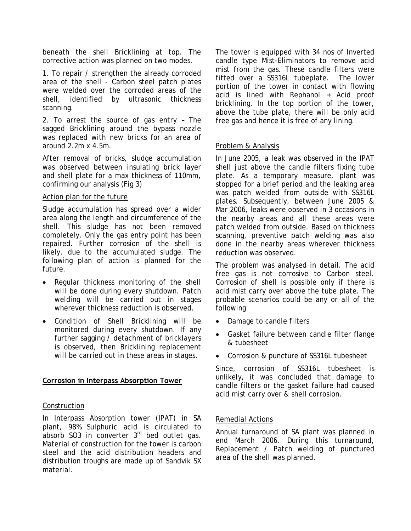beneath the shell Bricklining at top. The corrective action was planned on two modes.

1. To repair / strengthen the already corroded area of the shell - Carbon steel patch plates were welded over the corroded areas of the shell, identified by ultrasonic thickness scanning.

2. To arrest the source of gas entry – The sagged Bricklining around the bypass nozzle was replaced with new bricks for an area of around 2.2m x 4.5m.

After removal of bricks, sludge accumulation was observed between insulating brick layer and shell plate for a max thickness of 110mm, confirming our analysis (Fig 3)

### Action plan for the future

Sludge accumulation has spread over a wider area along the length and circumference of the shell. This sludge has not been removed completely. Only the gas entry point has been repaired. Further corrosion of the shell is likely, due to the accumulated sludge. The following plan of action is planned for the future.

- Regular thickness monitoring of the shell will be done during every shutdown. Patch welding will be carried out in stages wherever thickness reduction is observed.
- Condition of Shell Bricklining will be monitored during every shutdown. If any further sagging / detachment of bricklayers is observed, then Bricklining replacement will be carried out in these areas in stages.

## **Corrosion in Interpass Absorption Tower**

## Construction

In Interpass Absorption tower (IPAT) in SA plant, 98% Sulphuric acid is circulated to absorb SO3 in converter 3<sup>rd</sup> bed outlet gas. Material of construction for the tower is carbon steel and the acid distribution headers and distribution troughs are made up of Sandvik SX material.

The tower is equipped with 34 nos of Inverted candle type Mist-Eliminators to remove acid mist from the gas. These candle filters were fitted over a SS316L tubeplate. The lower portion of the tower in contact with flowing acid is lined with Rephanol + Acid proof bricklining. In the top portion of the tower, above the tube plate, there will be only acid free gas and hence it is free of any lining.

## Problem & Analysis

In June 2005, a leak was observed in the IPAT shell just above the candle filters fixing tube plate. As a temporary measure, plant was stopped for a brief period and the leaking area was patch welded from outside with SS316L plates. Subsequently, between June 2005 & Mar 2006, leaks were observed in 3 occasions in the nearby areas and all these areas were patch welded from outside. Based on thickness scanning, preventive patch welding was also done in the nearby areas wherever thickness reduction was observed.

The problem was analysed in detail. The acid free gas is not corrosive to Carbon steel. Corrosion of shell is possible only if there is acid mist carry over above the tube plate. The probable scenarios could be any or all of the following

- Damage to candle filters
- Gasket failure between candle filter flange & tubesheet
- Corrosion & puncture of SS316L tubesheet

Since, corrosion of SS316L tubesheet is unlikely, it was concluded that damage to candle filters or the gasket failure had caused acid mist carry over & shell corrosion.

## Remedial Actions

Annual turnaround of SA plant was planned in end March 2006. During this turnaround, Replacement / Patch welding of punctured area of the shell was planned.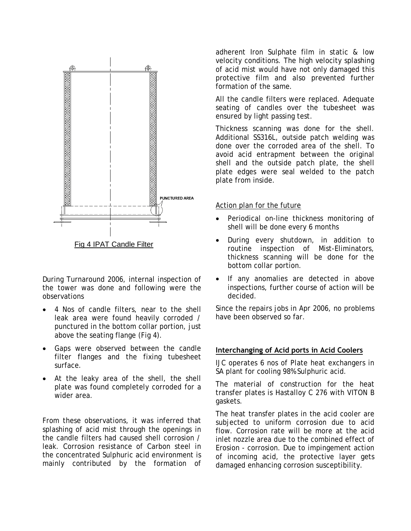

During Turnaround 2006, internal inspection of the tower was done and following were the observations

- 4 Nos of candle filters, near to the shell leak area were found heavily corroded / punctured in the bottom collar portion, just above the seating flange (Fig 4).
- Gaps were observed between the candle filter flanges and the fixing tubesheet surface.
- At the leaky area of the shell, the shell plate was found completely corroded for a wider area.

From these observations, it was inferred that splashing of acid mist through the openings in the candle filters had caused shell corrosion / leak. Corrosion resistance of Carbon steel in the concentrated Sulphuric acid environment is mainly contributed by the formation of

adherent Iron Sulphate film in static & low velocity conditions. The high velocity splashing of acid mist would have not only damaged this protective film and also prevented further formation of the same.

All the candle filters were replaced. Adequate seating of candles over the tubesheet was ensured by light passing test.

Thickness scanning was done for the shell. Additional SS316L, outside patch welding was done over the corroded area of the shell. To avoid acid entrapment between the original shell and the outside patch plate, the shell plate edges were seal welded to the patch plate from inside.

### Action plan for the future

- Periodical on-line thickness monitoring of shell will be done every 6 months
- During every shutdown, in addition to routine inspection of Mist-Eliminators, thickness scanning will be done for the bottom collar portion.
- If any anomalies are detected in above inspections, further course of action will be decided.

Since the repairs jobs in Apr 2006, no problems have been observed so far.

## **Interchanging of Acid ports in Acid Coolers**

IJC operates 6 nos of Plate heat exchangers in SA plant for cooling 98% Sulphuric acid.

The material of construction for the heat transfer plates is Hastalloy C 276 with VITON B gaskets.

The heat transfer plates in the acid cooler are subjected to uniform corrosion due to acid flow. Corrosion rate will be more at the acid inlet nozzle area due to the combined effect of Erosion - corrosion. Due to impingement action of incoming acid, the protective layer gets damaged enhancing corrosion susceptibility.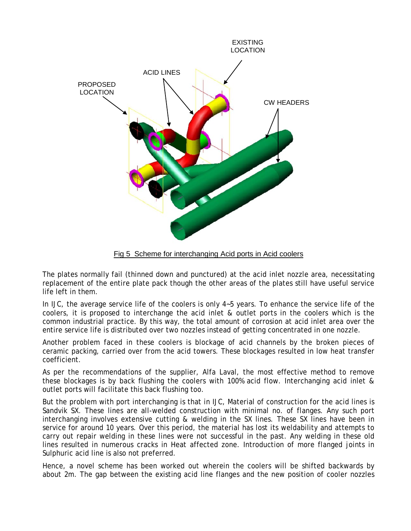

Fig 5 Scheme for interchanging Acid ports in Acid coolers

The plates normally fail (thinned down and punctured) at the acid inlet nozzle area, necessitating replacement of the entire plate pack though the other areas of the plates still have useful service life left in them.

In IJC, the average service life of the coolers is only 4~5 years. To enhance the service life of the coolers, it is proposed to interchange the acid inlet & outlet ports in the coolers which is the common industrial practice. By this way, the total amount of corrosion at acid inlet area over the entire service life is distributed over two nozzles instead of getting concentrated in one nozzle.

Another problem faced in these coolers is blockage of acid channels by the broken pieces of ceramic packing, carried over from the acid towers. These blockages resulted in low heat transfer coefficient.

As per the recommendations of the supplier, Alfa Laval, the most effective method to remove these blockages is by back flushing the coolers with 100% acid flow. Interchanging acid inlet & outlet ports will facilitate this back flushing too.

But the problem with port interchanging is that in IJC, Material of construction for the acid lines is Sandvik SX. These lines are all-welded construction with minimal no. of flanges. Any such port interchanging involves extensive cutting & welding in the SX lines. These SX lines have been in service for around 10 years. Over this period, the material has lost its weldability and attempts to carry out repair welding in these lines were not successful in the past. Any welding in these old lines resulted in numerous cracks in Heat affected zone. Introduction of more flanged joints in Sulphuric acid line is also not preferred.

Hence, a novel scheme has been worked out wherein the coolers will be shifted backwards by about 2m. The gap between the existing acid line flanges and the new position of cooler nozzles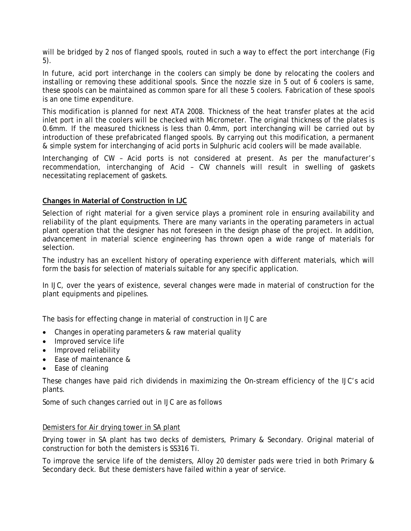will be bridged by 2 nos of flanged spools, routed in such a way to effect the port interchange (Fig 5).

In future, acid port interchange in the coolers can simply be done by relocating the coolers and installing or removing these additional spools. Since the nozzle size in 5 out of 6 coolers is same, these spools can be maintained as common spare for all these 5 coolers. Fabrication of these spools is an one time expenditure.

This modification is planned for next ATA 2008. Thickness of the heat transfer plates at the acid inlet port in all the coolers will be checked with Micrometer. The original thickness of the plates is 0.6mm. If the measured thickness is less than 0.4mm, port interchanging will be carried out by introduction of these prefabricated flanged spools. By carrying out this modification, a permanent & simple system for interchanging of acid ports in Sulphuric acid coolers will be made available.

Interchanging of CW – Acid ports is not considered at present. As per the manufacturer's recommendation, interchanging of Acid – CW channels will result in swelling of gaskets necessitating replacement of gaskets.

# **Changes in Material of Construction in IJC**

Selection of right material for a given service plays a prominent role in ensuring availability and reliability of the plant equipments. There are many variants in the operating parameters in actual plant operation that the designer has not foreseen in the design phase of the project. In addition, advancement in material science engineering has thrown open a wide range of materials for selection.

The industry has an excellent history of operating experience with different materials, which will form the basis for selection of materials suitable for any specific application.

In IJC, over the years of existence, several changes were made in material of construction for the plant equipments and pipelines.

The basis for effecting change in material of construction in IJC are

- Changes in operating parameters & raw material quality
- Improved service life
- Improved reliability
- Ease of maintenance &
- Ease of cleaning

These changes have paid rich dividends in maximizing the On-stream efficiency of the IJC's acid plants.

Some of such changes carried out in IJC are as follows

#### Demisters for Air drying tower in SA plant

Drying tower in SA plant has two decks of demisters, Primary & Secondary. Original material of construction for both the demisters is SS316 Ti.

To improve the service life of the demisters, Alloy 20 demister pads were tried in both Primary & Secondary deck. But these demisters have failed within a year of service.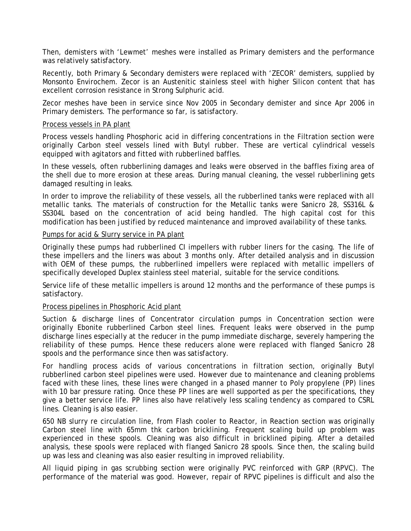Then, demisters with 'Lewmet' meshes were installed as Primary demisters and the performance was relatively satisfactory.

Recently, both Primary & Secondary demisters were replaced with 'ZECOR' demisters, supplied by Monsonto Envirochem. Zecor is an Austenitic stainless steel with higher Silicon content that has excellent corrosion resistance in Strong Sulphuric acid.

Zecor meshes have been in service since Nov 2005 in Secondary demister and since Apr 2006 in Primary demisters. The performance so far, is satisfactory.

#### Process vessels in PA plant

Process vessels handling Phosphoric acid in differing concentrations in the Filtration section were originally Carbon steel vessels lined with Butyl rubber. These are vertical cylindrical vessels equipped with agitators and fitted with rubberlined baffles.

In these vessels, often rubberlining damages and leaks were observed in the baffles fixing area of the shell due to more erosion at these areas. During manual cleaning, the vessel rubberlining gets damaged resulting in leaks.

In order to improve the reliability of these vessels, all the rubberlined tanks were replaced with all metallic tanks. The materials of construction for the Metallic tanks were Sanicro 28, SS316L & SS304L based on the concentration of acid being handled. The high capital cost for this modification has been justified by reduced maintenance and improved availability of these tanks.

### Pumps for acid & Slurry service in PA plant

Originally these pumps had rubberlined CI impellers with rubber liners for the casing. The life of these impellers and the liners was about 3 months only. After detailed analysis and in discussion with OEM of these pumps, the rubberlined impellers were replaced with metallic impellers of specifically developed Duplex stainless steel material, suitable for the service conditions.

Service life of these metallic impellers is around 12 months and the performance of these pumps is satisfactory.

## Process pipelines in Phosphoric Acid plant

Suction & discharge lines of Concentrator circulation pumps in Concentration section were originally Ebonite rubberlined Carbon steel lines. Frequent leaks were observed in the pump discharge lines especially at the reducer in the pump immediate discharge, severely hampering the reliability of these pumps. Hence these reducers alone were replaced with flanged Sanicro 28 spools and the performance since then was satisfactory.

For handling process acids of various concentrations in filtration section, originally Butyl rubberlined carbon steel pipelines were used. However due to maintenance and cleaning problems faced with these lines, these lines were changed in a phased manner to Poly propylene (PP) lines with 10 bar pressure rating. Once these PP lines are well supported as per the specifications, they give a better service life. PP lines also have relatively less scaling tendency as compared to CSRL lines. Cleaning is also easier.

650 NB slurry re circulation line, from Flash cooler to Reactor, in Reaction section was originally Carbon steel line with 65mm thk carbon bricklining. Frequent scaling build up problem was experienced in these spools. Cleaning was also difficult in bricklined piping. After a detailed analysis, these spools were replaced with flanged Sanicro 28 spools. Since then, the scaling build up was less and cleaning was also easier resulting in improved reliability.

All liquid piping in gas scrubbing section were originally PVC reinforced with GRP (RPVC). The performance of the material was good. However, repair of RPVC pipelines is difficult and also the